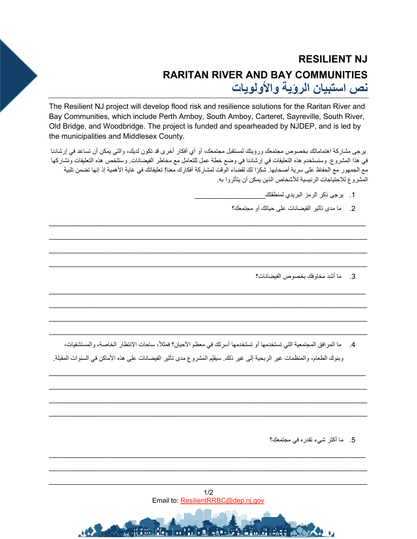## **RESILIENT NJ RARITAN RIVER AND BAY COMMUNITIES نص استبیان الرؤیة والأولویات**

The Resilient NJ project will develop flood risk and resilience solutions for the Raritan River and Bay Communities, which include Perth Amboy, South Amboy, Carteret, Sayreville, South River, Old Bridge, and Woodbridge. The project is funded and spearheaded by NJDEP, and is led by the municipalities and Middlesex County.

یرجى مشاركة اھتماماتك بخصوص مجتمعك ورؤیتك لمستقبل مجتمعك، أو أي أفكار أخرى قد تكون لدیك، والتي یمكن أن تساعد في إرشادنا في ھذا المشروع. وسنستخدم ھذه التعلیقات في إرشادنا في وضع خطة عمل للتعامل مع مخاطر الفیضانات. وسنلخص ھذه التعلیقات ونشاركھا ً مع الجمھور مع الحفاظ على سریة أصحابھا. شكرا لك لقضاء الوقت لمشاركة أفكارك معنا! تعلیقاتك في غایة الأھمیة إذ إنھا تضمن تلبیة المشروع للاحتیاجات الرئیسیة للأشخاص الذین یمكن أن یتأثروا بھ.

\_\_\_\_\_\_\_\_\_\_\_\_\_\_\_\_\_\_\_\_\_\_\_\_\_\_\_\_\_\_\_\_\_\_\_\_\_\_\_\_\_\_\_\_\_\_\_\_\_\_\_\_\_\_\_\_\_\_\_\_\_\_\_\_\_\_\_\_\_\_\_\_\_\_\_\_

 $\mathcal{L}_\mathcal{L} = \{ \mathcal{L}_\mathcal{L} = \{ \mathcal{L}_\mathcal{L} = \{ \mathcal{L}_\mathcal{L} = \{ \mathcal{L}_\mathcal{L} = \{ \mathcal{L}_\mathcal{L} = \{ \mathcal{L}_\mathcal{L} = \{ \mathcal{L}_\mathcal{L} = \{ \mathcal{L}_\mathcal{L} = \{ \mathcal{L}_\mathcal{L} = \{ \mathcal{L}_\mathcal{L} = \{ \mathcal{L}_\mathcal{L} = \{ \mathcal{L}_\mathcal{L} = \{ \mathcal{L}_\mathcal{L} = \{ \mathcal{L}_\mathcal{$  $\mathcal{L}_\mathcal{L} = \{ \mathcal{L}_\mathcal{L} = \{ \mathcal{L}_\mathcal{L} = \{ \mathcal{L}_\mathcal{L} = \{ \mathcal{L}_\mathcal{L} = \{ \mathcal{L}_\mathcal{L} = \{ \mathcal{L}_\mathcal{L} = \{ \mathcal{L}_\mathcal{L} = \{ \mathcal{L}_\mathcal{L} = \{ \mathcal{L}_\mathcal{L} = \{ \mathcal{L}_\mathcal{L} = \{ \mathcal{L}_\mathcal{L} = \{ \mathcal{L}_\mathcal{L} = \{ \mathcal{L}_\mathcal{L} = \{ \mathcal{L}_\mathcal{$  $\mathcal{L}_\mathcal{L} = \{ \mathcal{L}_\mathcal{L} = \{ \mathcal{L}_\mathcal{L} = \{ \mathcal{L}_\mathcal{L} = \{ \mathcal{L}_\mathcal{L} = \{ \mathcal{L}_\mathcal{L} = \{ \mathcal{L}_\mathcal{L} = \{ \mathcal{L}_\mathcal{L} = \{ \mathcal{L}_\mathcal{L} = \{ \mathcal{L}_\mathcal{L} = \{ \mathcal{L}_\mathcal{L} = \{ \mathcal{L}_\mathcal{L} = \{ \mathcal{L}_\mathcal{L} = \{ \mathcal{L}_\mathcal{L} = \{ \mathcal{L}_\mathcal{$ 

- 1. يرجى ذكر الر مز البريدي لمنطقتك
- .2 ما مدى تأثیر الفیضانات على حیاتك أو مجتمعك؟

- 3. ما أشد مخاوفك بخصوص الفیضانات؟
- $\mathcal{L}_\mathcal{L} = \{ \mathcal{L}_\mathcal{L} = \{ \mathcal{L}_\mathcal{L} = \{ \mathcal{L}_\mathcal{L} = \{ \mathcal{L}_\mathcal{L} = \{ \mathcal{L}_\mathcal{L} = \{ \mathcal{L}_\mathcal{L} = \{ \mathcal{L}_\mathcal{L} = \{ \mathcal{L}_\mathcal{L} = \{ \mathcal{L}_\mathcal{L} = \{ \mathcal{L}_\mathcal{L} = \{ \mathcal{L}_\mathcal{L} = \{ \mathcal{L}_\mathcal{L} = \{ \mathcal{L}_\mathcal{L} = \{ \mathcal{L}_\mathcal{$ 4. ما المرافق المجتمعية التي تستخدمها أو تستخدمها أسرتك في معظم الأحيان؟ فمثلاً، ساحات الانتظار الخاصة، والمستشفيات،

\_\_\_\_\_\_\_\_\_\_\_\_\_\_\_\_\_\_\_\_\_\_\_\_\_\_\_\_\_\_\_\_\_\_\_\_\_\_\_\_\_\_\_\_\_\_\_\_\_\_\_\_\_\_\_\_\_\_\_\_\_\_\_\_\_\_\_\_\_\_\_\_\_\_\_\_

 $\mathcal{L}_\mathcal{L} = \{ \mathcal{L}_\mathcal{L} = \{ \mathcal{L}_\mathcal{L} = \{ \mathcal{L}_\mathcal{L} = \{ \mathcal{L}_\mathcal{L} = \{ \mathcal{L}_\mathcal{L} = \{ \mathcal{L}_\mathcal{L} = \{ \mathcal{L}_\mathcal{L} = \{ \mathcal{L}_\mathcal{L} = \{ \mathcal{L}_\mathcal{L} = \{ \mathcal{L}_\mathcal{L} = \{ \mathcal{L}_\mathcal{L} = \{ \mathcal{L}_\mathcal{L} = \{ \mathcal{L}_\mathcal{L} = \{ \mathcal{L}_\mathcal{$  $\mathcal{L}_\mathcal{L} = \{ \mathcal{L}_\mathcal{L} = \{ \mathcal{L}_\mathcal{L} = \{ \mathcal{L}_\mathcal{L} = \{ \mathcal{L}_\mathcal{L} = \{ \mathcal{L}_\mathcal{L} = \{ \mathcal{L}_\mathcal{L} = \{ \mathcal{L}_\mathcal{L} = \{ \mathcal{L}_\mathcal{L} = \{ \mathcal{L}_\mathcal{L} = \{ \mathcal{L}_\mathcal{L} = \{ \mathcal{L}_\mathcal{L} = \{ \mathcal{L}_\mathcal{L} = \{ \mathcal{L}_\mathcal{L} = \{ \mathcal{L}_\mathcal{$  $\mathcal{L}_\mathcal{L} = \{ \mathcal{L}_\mathcal{L} = \{ \mathcal{L}_\mathcal{L} = \{ \mathcal{L}_\mathcal{L} = \{ \mathcal{L}_\mathcal{L} = \{ \mathcal{L}_\mathcal{L} = \{ \mathcal{L}_\mathcal{L} = \{ \mathcal{L}_\mathcal{L} = \{ \mathcal{L}_\mathcal{L} = \{ \mathcal{L}_\mathcal{L} = \{ \mathcal{L}_\mathcal{L} = \{ \mathcal{L}_\mathcal{L} = \{ \mathcal{L}_\mathcal{L} = \{ \mathcal{L}_\mathcal{L} = \{ \mathcal{L}_\mathcal{$ 

\_\_\_\_\_\_\_\_\_\_\_\_\_\_\_\_\_\_\_\_\_\_\_\_\_\_\_\_\_\_\_\_\_\_\_\_\_\_\_\_\_\_\_\_\_\_\_\_\_\_\_\_\_\_\_\_\_\_\_\_\_\_\_\_\_\_\_\_\_\_\_\_\_\_\_\_

 $\mathcal{L}_\mathcal{L} = \{ \mathcal{L}_\mathcal{L} = \{ \mathcal{L}_\mathcal{L} = \{ \mathcal{L}_\mathcal{L} = \{ \mathcal{L}_\mathcal{L} = \{ \mathcal{L}_\mathcal{L} = \{ \mathcal{L}_\mathcal{L} = \{ \mathcal{L}_\mathcal{L} = \{ \mathcal{L}_\mathcal{L} = \{ \mathcal{L}_\mathcal{L} = \{ \mathcal{L}_\mathcal{L} = \{ \mathcal{L}_\mathcal{L} = \{ \mathcal{L}_\mathcal{L} = \{ \mathcal{L}_\mathcal{L} = \{ \mathcal{L}_\mathcal{$  $\mathcal{L}_\mathcal{L} = \{ \mathcal{L}_\mathcal{L} = \{ \mathcal{L}_\mathcal{L} = \{ \mathcal{L}_\mathcal{L} = \{ \mathcal{L}_\mathcal{L} = \{ \mathcal{L}_\mathcal{L} = \{ \mathcal{L}_\mathcal{L} = \{ \mathcal{L}_\mathcal{L} = \{ \mathcal{L}_\mathcal{L} = \{ \mathcal{L}_\mathcal{L} = \{ \mathcal{L}_\mathcal{L} = \{ \mathcal{L}_\mathcal{L} = \{ \mathcal{L}_\mathcal{L} = \{ \mathcal{L}_\mathcal{L} = \{ \mathcal{L}_\mathcal{$ 

وبنوك الطعام، والمنظمات غیر الربحیة إلى غیر ذلك. سیقیّم المشروع مدى تأثیر الفیضانات على هذه الأماكن في السنوات المقبلة.

.5 ما أكثر شيء تقدره في مجتمعك؟



**A THURSH AT LIFE AND LES** 

\_\_\_\_\_\_\_\_\_\_\_\_\_\_\_\_\_\_\_\_\_\_\_\_\_\_\_\_\_\_\_\_\_\_\_\_\_\_\_\_\_\_\_\_\_\_\_\_\_\_\_\_\_\_\_\_\_\_\_\_\_\_\_\_\_\_\_\_\_\_\_\_\_\_\_\_

 $\mathcal{L}_\mathcal{L} = \{ \mathcal{L}_\mathcal{L} = \{ \mathcal{L}_\mathcal{L} = \{ \mathcal{L}_\mathcal{L} = \{ \mathcal{L}_\mathcal{L} = \{ \mathcal{L}_\mathcal{L} = \{ \mathcal{L}_\mathcal{L} = \{ \mathcal{L}_\mathcal{L} = \{ \mathcal{L}_\mathcal{L} = \{ \mathcal{L}_\mathcal{L} = \{ \mathcal{L}_\mathcal{L} = \{ \mathcal{L}_\mathcal{L} = \{ \mathcal{L}_\mathcal{L} = \{ \mathcal{L}_\mathcal{L} = \{ \mathcal{L}_\mathcal{$ \_\_\_\_\_\_\_\_\_\_\_\_\_\_\_\_\_\_\_\_\_\_\_\_\_\_\_\_\_\_\_\_\_\_\_\_\_\_\_\_\_\_\_\_\_\_\_\_\_\_\_\_\_\_\_\_\_\_\_\_\_\_\_\_\_\_\_\_\_\_\_\_\_\_\_\_\_\_\_\_